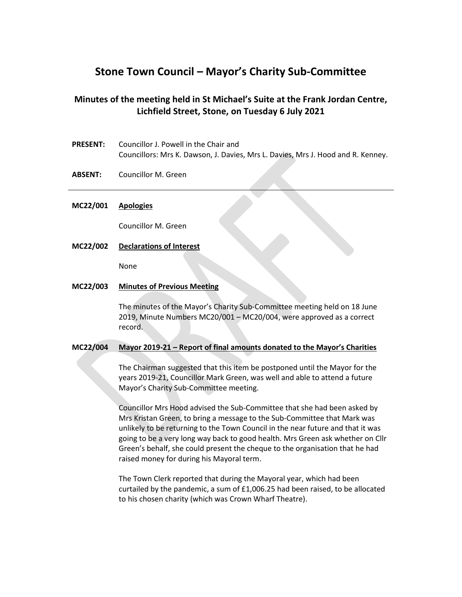# **Stone Town Council – Mayor's Charity Sub-Committee**

# **Minutes of the meeting held in St Michael's Suite at the Frank Jordan Centre, Lichfield Street, Stone, on Tuesday 6 July 2021**

- **PRESENT:** Councillor J. Powell in the Chair and Councillors: Mrs K. Dawson, J. Davies, Mrs L. Davies, Mrs J. Hood and R. Kenney.
- **ABSENT:** Councillor M. Green

# **MC22/001 Apologies**

Councillor M. Green

**MC22/002 Declarations of Interest**

None

#### **MC22/003 Minutes of Previous Meeting**

The minutes of the Mayor's Charity Sub-Committee meeting held on 18 June 2019, Minute Numbers MC20/001 – MC20/004, were approved as a correct record.

#### **MC22/004 Mayor 2019-21 – Report of final amounts donated to the Mayor's Charities**

The Chairman suggested that this item be postponed until the Mayor for the years 2019-21, Councillor Mark Green, was well and able to attend a future Mayor's Charity Sub-Committee meeting.

Councillor Mrs Hood advised the Sub-Committee that she had been asked by Mrs Kristan Green, to bring a message to the Sub-Committee that Mark was unlikely to be returning to the Town Council in the near future and that it was going to be a very long way back to good health. Mrs Green ask whether on Cllr Green's behalf, she could present the cheque to the organisation that he had raised money for during his Mayoral term.

The Town Clerk reported that during the Mayoral year, which had been curtailed by the pandemic, a sum of £1,006.25 had been raised, to be allocated to his chosen charity (which was Crown Wharf Theatre).